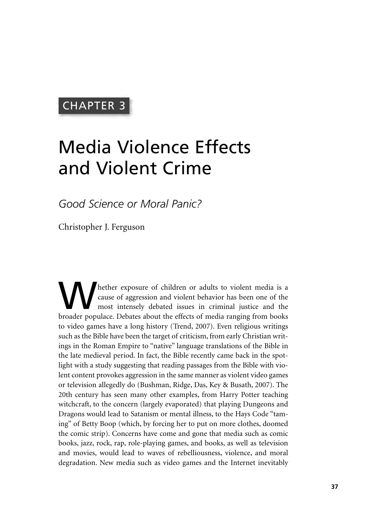# CHAPTER 3

# Media Violence Effects and Violent Crime

*Good Science or Moral Panic?*

Christopher J. Ferguson

A hether exposure of children or adults to violent media is a cause of aggression and violent behavior has been one of the most intensely debated issues in criminal justice and the broader populace. Debates about the effec cause of aggression and violent behavior has been one of the most intensely debated issues in criminal justice and the broader populace. Debates about the effects of media ranging from books to video games have a long history (Trend, 2007). Even religious writings such as the Bible have been the target of criticism, from early Christian writings in the Roman Empire to "native" language translations of the Bible in the late medieval period. In fact, the Bible recently came back in the spotlight with a study suggesting that reading passages from the Bible with violent content provokes aggression in the same manner as violent video games or television allegedly do (Bushman, Ridge, Das, Key & Busath, 2007). The 20th century has seen many other examples, from Harry Potter teaching witchcraft, to the concern (largely evaporated) that playing Dungeons and Dragons would lead to Satanism or mental illness, to the Hays Code "taming" of Betty Boop (which, by forcing her to put on more clothes, doomed the comic strip). Concerns have come and gone that media such as comic books, jazz, rock, rap, role-playing games, and books, as well as television and movies, would lead to waves of rebelliousness, violence, and moral degradation. New media such as video games and the Internet inevitably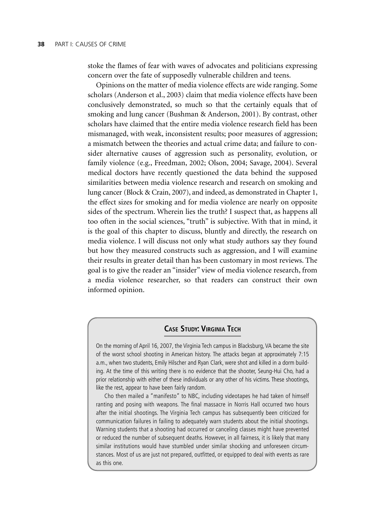stoke the flames of fear with waves of advocates and politicians expressing concern over the fate of supposedly vulnerable children and teens.

Opinions on the matter of media violence effects are wide ranging. Some scholars (Anderson et al., 2003) claim that media violence effects have been conclusively demonstrated, so much so that the certainly equals that of smoking and lung cancer (Bushman & Anderson, 2001). By contrast, other scholars have claimed that the entire media violence research field has been mismanaged, with weak, inconsistent results; poor measures of aggression; a mismatch between the theories and actual crime data; and failure to consider alternative causes of aggression such as personality, evolution, or family violence (e.g., Freedman, 2002; Olson, 2004; Savage, 2004). Several medical doctors have recently questioned the data behind the supposed similarities between media violence research and research on smoking and lung cancer (Block & Crain, 2007), and indeed, as demonstrated in Chapter 1, the effect sizes for smoking and for media violence are nearly on opposite sides of the spectrum. Wherein lies the truth? I suspect that, as happens all too often in the social sciences, "truth" is subjective. With that in mind, it is the goal of this chapter to discuss, bluntly and directly, the research on media violence. I will discuss not only what study authors say they found but how they measured constructs such as aggression, and I will examine their results in greater detail than has been customary in most reviews. The goal is to give the reader an "insider" view of media violence research, from a media violence researcher, so that readers can construct their own informed opinion.

#### **CASE STUDY: VIRGINIA TECH**

On the morning of April 16, 2007, the Virginia Tech campus in Blacksburg, VA became the site of the worst school shooting in American history. The attacks began at approximately 7:15 a.m., when two students, Emily Hilscher and Ryan Clark, were shot and killed in a dorm building. At the time of this writing there is no evidence that the shooter, Seung-Hui Cho, had a prior relationship with either of these individuals or any other of his victims. These shootings, like the rest, appear to have been fairly random.

Cho then mailed a "manifesto" to NBC, including videotapes he had taken of himself ranting and posing with weapons. The final massacre in Norris Hall occurred two hours after the initial shootings. The Virginia Tech campus has subsequently been criticized for communication failures in failing to adequately warn students about the initial shootings. Warning students that a shooting had occurred or canceling classes might have prevented or reduced the number of subsequent deaths. However, in all fairness, it is likely that many similar institutions would have stumbled under similar shocking and unforeseen circumstances. Most of us are just not prepared, outfitted, or equipped to deal with events as rare as this one.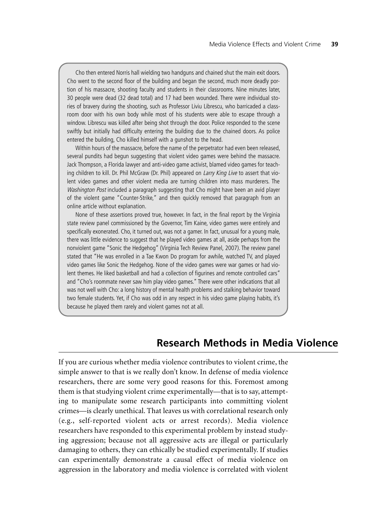Cho then entered Norris hall wielding two handguns and chained shut the main exit doors. Cho went to the second floor of the building and began the second, much more deadly portion of his massacre, shooting faculty and students in their classrooms. Nine minutes later, 30 people were dead (32 dead total) and 17 had been wounded. There were individual stories of bravery during the shooting, such as Professor Liviu Librescu, who barricaded a classroom door with his own body while most of his students were able to escape through a window. Librescu was killed after being shot through the door. Police responded to the scene swiftly but initially had difficulty entering the building due to the chained doors. As police entered the building, Cho killed himself with a gunshot to the head.

Within hours of the massacre, before the name of the perpetrator had even been released, several pundits had begun suggesting that violent video games were behind the massacre. Jack Thompson, a Florida lawyer and anti-video game activist, blamed video games for teaching children to kill. Dr. Phil McGraw (Dr. Phil) appeared on Larry King Live to assert that violent video games and other violent media are turning children into mass murderers. The Washington Post included a paragraph suggesting that Cho might have been an avid player of the violent game "Counter-Strike," and then quickly removed that paragraph from an online article without explanation.

None of these assertions proved true, however. In fact, in the final report by the Virginia state review panel commissioned by the Governor, Tim Kaine, video games were entirely and specifically exonerated. Cho, it turned out, was not a gamer. In fact, unusual for a young male, there was little evidence to suggest that he played video games at all, aside perhaps from the nonviolent game "Sonic the Hedgehog" (Virginia Tech Review Panel, 2007). The review panel stated that "He was enrolled in a Tae Kwon Do program for awhile, watched TV, and played video games like Sonic the Hedgehog. None of the video games were war games or had violent themes. He liked basketball and had a collection of figurines and remote controlled cars" and "Cho's roommate never saw him play video games." There were other indications that all was not well with Cho: a long history of mental health problems and stalking behavior toward two female students. Yet, if Cho was odd in any respect in his video game playing habits, it's because he played them rarely and violent games not at all.

### **Research Methods in Media Violence**

If you are curious whether media violence contributes to violent crime, the simple answer to that is we really don't know. In defense of media violence researchers, there are some very good reasons for this. Foremost among them is that studying violent crime experimentally—that is to say, attempting to manipulate some research participants into committing violent crimes—is clearly unethical. That leaves us with correlational research only (e.g., self-reported violent acts or arrest records). Media violence researchers have responded to this experimental problem by instead studying aggression; because not all aggressive acts are illegal or particularly damaging to others, they can ethically be studied experimentally. If studies can experimentally demonstrate a causal effect of media violence on aggression in the laboratory and media violence is correlated with violent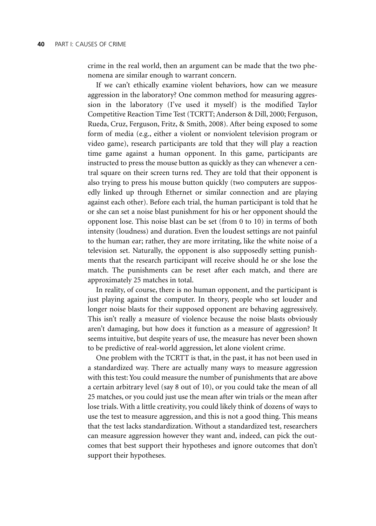crime in the real world, then an argument can be made that the two phenomena are similar enough to warrant concern.

If we can't ethically examine violent behaviors, how can we measure aggression in the laboratory? One common method for measuring aggression in the laboratory (I've used it myself) is the modified Taylor Competitive Reaction Time Test (TCRTT; Anderson & Dill, 2000; Ferguson, Rueda, Cruz, Ferguson, Fritz, & Smith, 2008). After being exposed to some form of media (e.g., either a violent or nonviolent television program or video game), research participants are told that they will play a reaction time game against a human opponent. In this game, participants are instructed to press the mouse button as quickly as they can whenever a central square on their screen turns red. They are told that their opponent is also trying to press his mouse button quickly (two computers are supposedly linked up through Ethernet or similar connection and are playing against each other). Before each trial, the human participant is told that he or she can set a noise blast punishment for his or her opponent should the opponent lose. This noise blast can be set (from 0 to 10) in terms of both intensity (loudness) and duration. Even the loudest settings are not painful to the human ear; rather, they are more irritating, like the white noise of a television set. Naturally, the opponent is also supposedly setting punishments that the research participant will receive should he or she lose the match. The punishments can be reset after each match, and there are approximately 25 matches in total.

In reality, of course, there is no human opponent, and the participant is just playing against the computer. In theory, people who set louder and longer noise blasts for their supposed opponent are behaving aggressively. This isn't really a measure of violence because the noise blasts obviously aren't damaging, but how does it function as a measure of aggression? It seems intuitive, but despite years of use, the measure has never been shown to be predictive of real-world aggression, let alone violent crime.

One problem with the TCRTT is that, in the past, it has not been used in a standardized way. There are actually many ways to measure aggression with this test: You could measure the number of punishments that are above a certain arbitrary level (say 8 out of 10), or you could take the mean of all 25 matches, or you could just use the mean after win trials or the mean after lose trials. With a little creativity, you could likely think of dozens of ways to use the test to measure aggression, and this is not a good thing. This means that the test lacks standardization. Without a standardized test, researchers can measure aggression however they want and, indeed, can pick the outcomes that best support their hypotheses and ignore outcomes that don't support their hypotheses.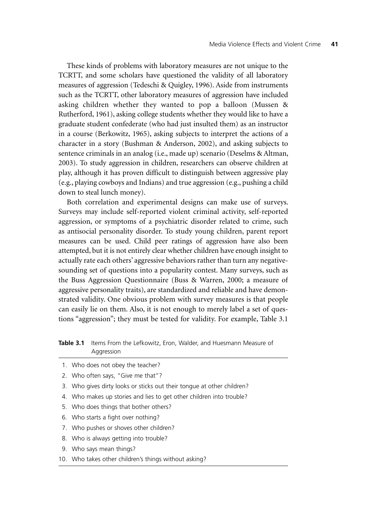These kinds of problems with laboratory measures are not unique to the TCRTT, and some scholars have questioned the validity of all laboratory measures of aggression (Tedeschi & Quigley, 1996). Aside from instruments such as the TCRTT, other laboratory measures of aggression have included asking children whether they wanted to pop a balloon (Mussen & Rutherford, 1961), asking college students whether they would like to have a graduate student confederate (who had just insulted them) as an instructor in a course (Berkowitz, 1965), asking subjects to interpret the actions of a character in a story (Bushman & Anderson, 2002), and asking subjects to sentence criminals in an analog (i.e., made up) scenario (Deselms & Altman, 2003). To study aggression in children, researchers can observe children at play, although it has proven difficult to distinguish between aggressive play (e.g., playing cowboys and Indians) and true aggression (e.g., pushing a child down to steal lunch money).

Both correlation and experimental designs can make use of surveys. Surveys may include self-reported violent criminal activity, self-reported aggression, or symptoms of a psychiatric disorder related to crime, such as antisocial personality disorder. To study young children, parent report measures can be used. Child peer ratings of aggression have also been attempted, but it is not entirely clear whether children have enough insight to actually rate each others' aggressive behaviors rather than turn any negativesounding set of questions into a popularity contest. Many surveys, such as the Buss Aggression Questionnaire (Buss & Warren, 2000; a measure of aggressive personality traits), are standardized and reliable and have demonstrated validity. One obvious problem with survey measures is that people can easily lie on them. Also, it is not enough to merely label a set of questions "aggression"; they must be tested for validity. For example, Table 3.1

Table 3.1 Items From the Lefkowitz, Eron, Walder, and Huesmann Measure of Aggression

- 1. Who does not obey the teacher?
- 2. Who often says, "Give me that"?
- 3. Who gives dirty looks or sticks out their tongue at other children?
- 4. Who makes up stories and lies to get other children into trouble?
- 5. Who does things that bother others?
- 6. Who starts a fight over nothing?
- 7. Who pushes or shoves other children?
- 8. Who is always getting into trouble?
- 9. Who says mean things?
- 10. Who takes other children's things without asking?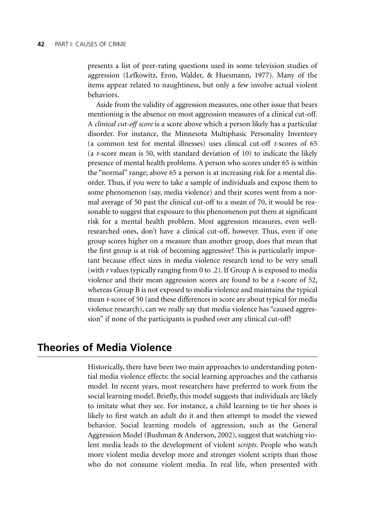presents a list of peer-rating questions used in some television studies of aggression (Lefkowitz, Eron, Walder, & Huesmann, 1977). Many of the items appear related to naughtiness, but only a few involve actual violent behaviors.

Aside from the validity of aggression measures, one other issue that bears mentioning is the absence on most aggression measures of a clinical cut-off. A *clinical cut-off score* is a score above which a person likely has a particular disorder. For instance, the Minnesota Multiphasic Personality Inventory (a common test for mental illnesses) uses clinical cut-off *t*-scores of 65 (a *t*-score mean is 50, with standard deviation of 10) to indicate the likely presence of mental health problems. A person who scores under 65 is within the "normal" range; above 65 a person is at increasing risk for a mental disorder. Thus, if you were to take a sample of individuals and expose them to some phenomenon (say, media violence) and their scores went from a normal average of 50 past the clinical cut-off to a mean of 70, it would be reasonable to suggest that exposure to this phenomenon put them at significant risk for a mental health problem. Most aggression measures, even wellresearched ones, don't have a clinical cut-off, however. Thus, even if one group scores higher on a measure than another group, does that mean that the first group is at risk of becoming aggressive? This is particularly important because effect sizes in media violence research tend to be very small (with *r* values typically ranging from 0 to .2). If Group A is exposed to media violence and their mean aggression scores are found to be a *t*-score of 52, whereas Group B is not exposed to media violence and maintains the typical mean *t*-score of 50 (and these differences in score are about typical for media violence research), can we really say that media violence has "caused aggression" if none of the participants is pushed over any clinical cut-off?

## **Theories of Media Violence**

Historically, there have been two main approaches to understanding potential media violence effects: the social learning approaches and the catharsis model. In recent years, most researchers have preferred to work from the social learning model. Briefly, this model suggests that individuals are likely to imitate what they see. For instance, a child learning to tie her shoes is likely to first watch an adult do it and then attempt to model the viewed behavior. Social learning models of aggression, such as the General Aggression Model (Bushman & Anderson, 2002), suggest that watching violent media leads to the development of violent *scripts.* People who watch more violent media develop more and stronger violent scripts than those who do not consume violent media. In real life, when presented with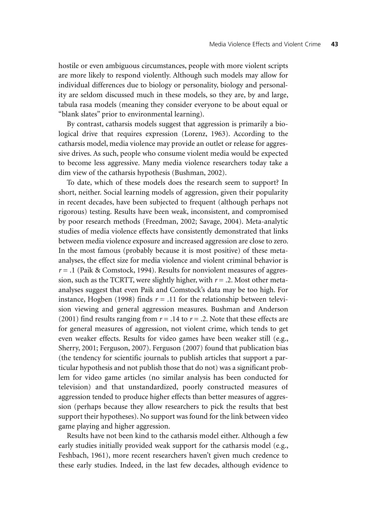hostile or even ambiguous circumstances, people with more violent scripts are more likely to respond violently. Although such models may allow for individual differences due to biology or personality, biology and personality are seldom discussed much in these models, so they are, by and large, tabula rasa models (meaning they consider everyone to be about equal or "blank slates" prior to environmental learning).

By contrast, catharsis models suggest that aggression is primarily a biological drive that requires expression (Lorenz, 1963). According to the catharsis model, media violence may provide an outlet or release for aggressive drives. As such, people who consume violent media would be expected to become less aggressive. Many media violence researchers today take a dim view of the catharsis hypothesis (Bushman, 2002).

To date, which of these models does the research seem to support? In short, neither. Social learning models of aggression, given their popularity in recent decades, have been subjected to frequent (although perhaps not rigorous) testing. Results have been weak, inconsistent, and compromised by poor research methods (Freedman, 2002; Savage, 2004). Meta-analytic studies of media violence effects have consistently demonstrated that links between media violence exposure and increased aggression are close to zero. In the most famous (probably because it is most positive) of these metaanalyses, the effect size for media violence and violent criminal behavior is *r* = .1 (Paik & Comstock, 1994). Results for nonviolent measures of aggression, such as the TCRTT, were slightly higher, with  $r = .2$ . Most other metaanalyses suggest that even Paik and Comstock's data may be too high. For instance, Hogben (1998) finds  $r = .11$  for the relationship between television viewing and general aggression measures. Bushman and Anderson (2001) find results ranging from  $r = .14$  to  $r = .2$ . Note that these effects are for general measures of aggression, not violent crime, which tends to get even weaker effects. Results for video games have been weaker still (e.g., Sherry, 2001; Ferguson, 2007). Ferguson (2007) found that publication bias (the tendency for scientific journals to publish articles that support a particular hypothesis and not publish those that do not) was a significant problem for video game articles (no similar analysis has been conducted for television) and that unstandardized, poorly constructed measures of aggression tended to produce higher effects than better measures of aggression (perhaps because they allow researchers to pick the results that best support their hypotheses). No support was found for the link between video game playing and higher aggression.

Results have not been kind to the catharsis model either. Although a few early studies initially provided weak support for the catharsis model (e.g., Feshbach, 1961), more recent researchers haven't given much credence to these early studies. Indeed, in the last few decades, although evidence to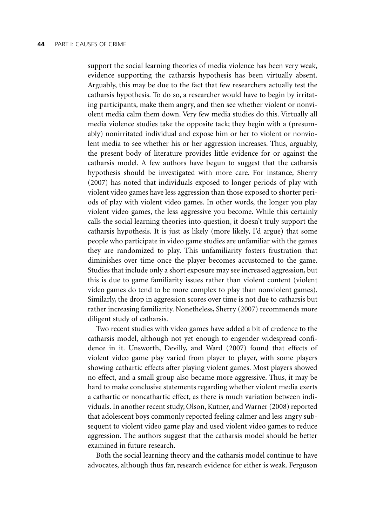support the social learning theories of media violence has been very weak, evidence supporting the catharsis hypothesis has been virtually absent. Arguably, this may be due to the fact that few researchers actually test the catharsis hypothesis. To do so, a researcher would have to begin by irritating participants, make them angry, and then see whether violent or nonviolent media calm them down. Very few media studies do this. Virtually all media violence studies take the opposite tack; they begin with a (presumably) nonirritated individual and expose him or her to violent or nonviolent media to see whether his or her aggression increases. Thus, arguably, the present body of literature provides little evidence for or against the catharsis model. A few authors have begun to suggest that the catharsis hypothesis should be investigated with more care. For instance, Sherry (2007) has noted that individuals exposed to longer periods of play with violent video games have less aggression than those exposed to shorter periods of play with violent video games. In other words, the longer you play violent video games, the less aggressive you become. While this certainly calls the social learning theories into question, it doesn't truly support the catharsis hypothesis. It is just as likely (more likely, I'd argue) that some people who participate in video game studies are unfamiliar with the games they are randomized to play. This unfamiliarity fosters frustration that diminishes over time once the player becomes accustomed to the game. Studies that include only a short exposure may see increased aggression, but this is due to game familiarity issues rather than violent content (violent video games do tend to be more complex to play than nonviolent games). Similarly, the drop in aggression scores over time is not due to catharsis but rather increasing familiarity. Nonetheless, Sherry (2007) recommends more diligent study of catharsis.

Two recent studies with video games have added a bit of credence to the catharsis model, although not yet enough to engender widespread confidence in it. Unsworth, Devilly, and Ward (2007) found that effects of violent video game play varied from player to player, with some players showing cathartic effects after playing violent games. Most players showed no effect, and a small group also became more aggressive. Thus, it may be hard to make conclusive statements regarding whether violent media exerts a cathartic or noncathartic effect, as there is much variation between individuals. In another recent study, Olson, Kutner, and Warner (2008) reported that adolescent boys commonly reported feeling calmer and less angry subsequent to violent video game play and used violent video games to reduce aggression. The authors suggest that the catharsis model should be better examined in future research.

Both the social learning theory and the catharsis model continue to have advocates, although thus far, research evidence for either is weak. Ferguson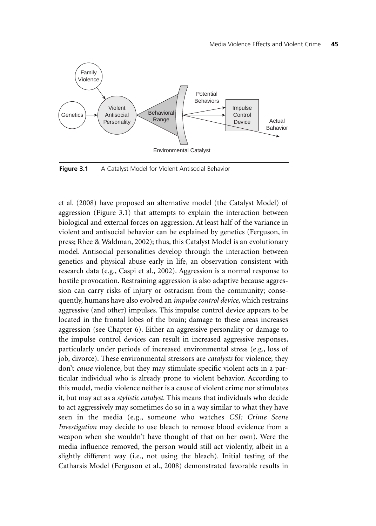

Figure 3.1 A Catalyst Model for Violent Antisocial Behavior

et al. (2008) have proposed an alternative model (the Catalyst Model) of aggression (Figure 3.1) that attempts to explain the interaction between biological and external forces on aggression. At least half of the variance in violent and antisocial behavior can be explained by genetics (Ferguson, in press; Rhee & Waldman, 2002); thus, this Catalyst Model is an evolutionary model. Antisocial personalities develop through the interaction between genetics and physical abuse early in life, an observation consistent with research data (e.g., Caspi et al., 2002). Aggression is a normal response to hostile provocation. Restraining aggression is also adaptive because aggression can carry risks of injury or ostracism from the community; consequently, humans have also evolved an *impulse control device,* which restrains aggressive (and other) impulses. This impulse control device appears to be located in the frontal lobes of the brain; damage to these areas increases aggression (see Chapter 6). Either an aggressive personality or damage to the impulse control devices can result in increased aggressive responses, particularly under periods of increased environmental stress (e.g., loss of job, divorce). These environmental stressors are *catalysts* for violence; they don't *cause* violence, but they may stimulate specific violent acts in a particular individual who is already prone to violent behavior. According to this model, media violence neither is a cause of violent crime nor stimulates it, but may act as a *stylistic catalyst.* This means that individuals who decide to act aggressively may sometimes do so in a way similar to what they have seen in the media (e.g., someone who watches *CSI: Crime Scene Investigation* may decide to use bleach to remove blood evidence from a weapon when she wouldn't have thought of that on her own). Were the media influence removed, the person would still act violently, albeit in a slightly different way (i.e., not using the bleach). Initial testing of the Catharsis Model (Ferguson et al., 2008) demonstrated favorable results in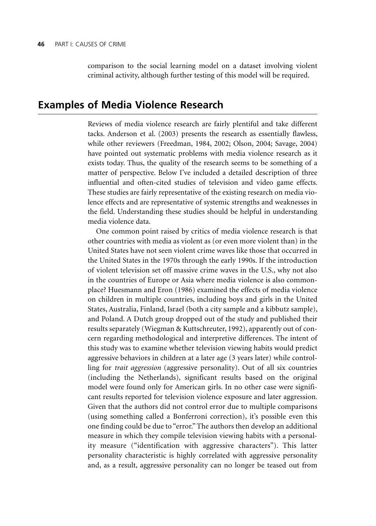comparison to the social learning model on a dataset involving violent criminal activity, although further testing of this model will be required.

#### **Examples of Media Violence Research**

Reviews of media violence research are fairly plentiful and take different tacks. Anderson et al. (2003) presents the research as essentially flawless, while other reviewers (Freedman, 1984, 2002; Olson, 2004; Savage, 2004) have pointed out systematic problems with media violence research as it exists today. Thus, the quality of the research seems to be something of a matter of perspective. Below I've included a detailed description of three influential and often-cited studies of television and video game effects. These studies are fairly representative of the existing research on media violence effects and are representative of systemic strengths and weaknesses in the field. Understanding these studies should be helpful in understanding media violence data.

One common point raised by critics of media violence research is that other countries with media as violent as (or even more violent than) in the United States have not seen violent crime waves like those that occurred in the United States in the 1970s through the early 1990s. If the introduction of violent television set off massive crime waves in the U.S., why not also in the countries of Europe or Asia where media violence is also commonplace? Huesmann and Eron (1986) examined the effects of media violence on children in multiple countries, including boys and girls in the United States, Australia, Finland, Israel (both a city sample and a kibbutz sample), and Poland. A Dutch group dropped out of the study and published their results separately (Wiegman & Kuttschreuter, 1992), apparently out of concern regarding methodological and interpretive differences. The intent of this study was to examine whether television viewing habits would predict aggressive behaviors in children at a later age (3 years later) while controlling for *trait aggression* (aggressive personality). Out of all six countries (including the Netherlands), significant results based on the original model were found only for American girls. In no other case were significant results reported for television violence exposure and later aggression. Given that the authors did not control error due to multiple comparisons (using something called a Bonferroni correction), it's possible even this one finding could be due to "error." The authors then develop an additional measure in which they compile television viewing habits with a personality measure ("identification with aggressive characters"). This latter personality characteristic is highly correlated with aggressive personality and, as a result, aggressive personality can no longer be teased out from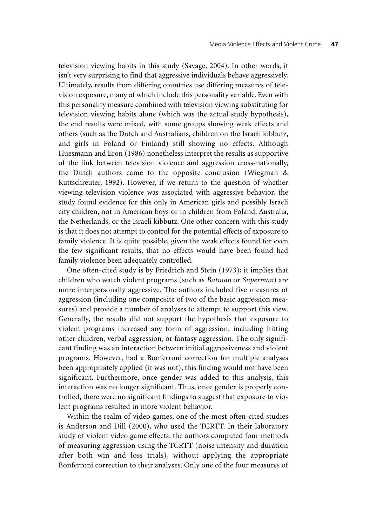television viewing habits in this study (Savage, 2004). In other words, it isn't very surprising to find that aggressive individuals behave aggressively. Ultimately, results from differing countries use differing measures of television exposure, many of which include this personality variable. Even with this personality measure combined with television viewing substituting for television viewing habits alone (which was the actual study hypothesis), the end results were mixed, with some groups showing weak effects and others (such as the Dutch and Australians, children on the Israeli kibbutz, and girls in Poland or Finland) still showing no effects. Although Huesmann and Eron (1986) nonetheless interpret the results as supportive of the link between television violence and aggression cross-nationally, the Dutch authors came to the opposite conclusion (Wiegman & Kuttschreuter, 1992). However, if we return to the question of whether viewing television violence was associated with aggressive behavior, the study found evidence for this only in American girls and possibly Israeli city children, not in American boys or in children from Poland, Australia, the Netherlands, or the Israeli kibbutz. One other concern with this study is that it does not attempt to control for the potential effects of exposure to family violence. It is quite possible, given the weak effects found for even the few significant results, that no effects would have been found had family violence been adequately controlled.

One often-cited study is by Friedrich and Stein (1973); it implies that children who watch violent programs (such as *Batman* or *Superman*) are more interpersonally aggressive. The authors included five measures of aggression (including one composite of two of the basic aggression measures) and provide a number of analyses to attempt to support this view. Generally, the results did not support the hypothesis that exposure to violent programs increased any form of aggression, including hitting other children, verbal aggression, or fantasy aggression. The only significant finding was an interaction between initial aggressiveness and violent programs. However, had a Bonferroni correction for multiple analyses been appropriately applied (it was not), this finding would not have been significant. Furthermore, once gender was added to this analysis, this interaction was no longer significant. Thus, once gender is properly controlled, there were no significant findings to suggest that exposure to violent programs resulted in more violent behavior.

Within the realm of video games, one of the most often-cited studies is Anderson and Dill (2000), who used the TCRTT. In their laboratory study of violent video game effects, the authors computed four methods of measuring aggression using the TCRTT (noise intensity and duration after both win and loss trials), without applying the appropriate Bonferroni correction to their analyses. Only one of the four measures of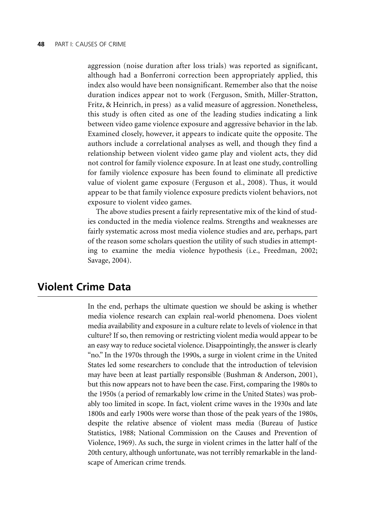aggression (noise duration after loss trials) was reported as significant, although had a Bonferroni correction been appropriately applied, this index also would have been nonsignificant. Remember also that the noise duration indices appear not to work (Ferguson, Smith, Miller-Stratton, Fritz, & Heinrich, in press) as a valid measure of aggression. Nonetheless, this study is often cited as one of the leading studies indicating a link between video game violence exposure and aggressive behavior in the lab. Examined closely, however, it appears to indicate quite the opposite. The authors include a correlational analyses as well, and though they find a relationship between violent video game play and violent acts, they did not control for family violence exposure. In at least one study, controlling for family violence exposure has been found to eliminate all predictive value of violent game exposure (Ferguson et al., 2008). Thus, it would appear to be that family violence exposure predicts violent behaviors, not exposure to violent video games.

The above studies present a fairly representative mix of the kind of studies conducted in the media violence realms. Strengths and weaknesses are fairly systematic across most media violence studies and are, perhaps, part of the reason some scholars question the utility of such studies in attempting to examine the media violence hypothesis (i.e., Freedman, 2002; Savage, 2004).

#### **Violent Crime Data**

In the end, perhaps the ultimate question we should be asking is whether media violence research can explain real-world phenomena. Does violent media availability and exposure in a culture relate to levels of violence in that culture? If so, then removing or restricting violent media would appear to be an easy way to reduce societal violence. Disappointingly, the answer is clearly "no." In the 1970s through the 1990s, a surge in violent crime in the United States led some researchers to conclude that the introduction of television may have been at least partially responsible (Bushman & Anderson, 2001), but this now appears not to have been the case. First, comparing the 1980s to the 1950s (a period of remarkably low crime in the United States) was probably too limited in scope. In fact, violent crime waves in the 1930s and late 1800s and early 1900s were worse than those of the peak years of the 1980s, despite the relative absence of violent mass media (Bureau of Justice Statistics, 1988; National Commission on the Causes and Prevention of Violence, 1969). As such, the surge in violent crimes in the latter half of the 20th century, although unfortunate, was not terribly remarkable in the landscape of American crime trends.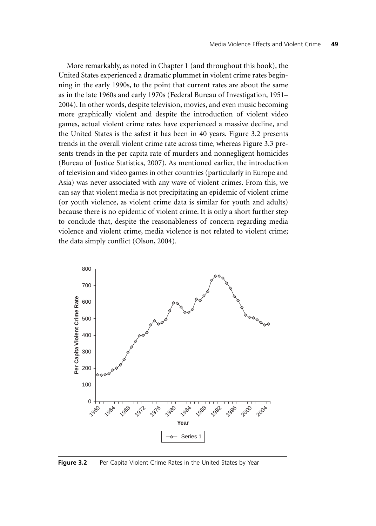More remarkably, as noted in Chapter 1 (and throughout this book), the United States experienced a dramatic plummet in violent crime rates beginning in the early 1990s, to the point that current rates are about the same as in the late 1960s and early 1970s (Federal Bureau of Investigation, 1951– 2004). In other words, despite television, movies, and even music becoming more graphically violent and despite the introduction of violent video games, actual violent crime rates have experienced a massive decline, and the United States is the safest it has been in 40 years. Figure 3.2 presents trends in the overall violent crime rate across time, whereas Figure 3.3 presents trends in the per capita rate of murders and nonnegligent homicides (Bureau of Justice Statistics, 2007). As mentioned earlier, the introduction of television and video games in other countries (particularly in Europe and Asia) was never associated with any wave of violent crimes. From this, we can say that violent media is not precipitating an epidemic of violent crime (or youth violence, as violent crime data is similar for youth and adults) because there is no epidemic of violent crime. It is only a short further step to conclude that, despite the reasonableness of concern regarding media violence and violent crime, media violence is not related to violent crime; the data simply conflict (Olson, 2004).



**Figure 3.2** Per Capita Violent Crime Rates in the United States by Year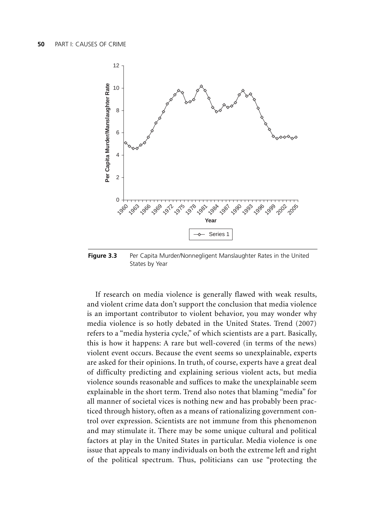

**Figure 3.3** Per Capita Murder/Nonnegligent Manslaughter Rates in the United States by Year

If research on media violence is generally flawed with weak results, and violent crime data don't support the conclusion that media violence is an important contributor to violent behavior, you may wonder why media violence is so hotly debated in the United States. Trend (2007) refers to a "media hysteria cycle," of which scientists are a part. Basically, this is how it happens: A rare but well-covered (in terms of the news) violent event occurs. Because the event seems so unexplainable, experts are asked for their opinions. In truth, of course, experts have a great deal of difficulty predicting and explaining serious violent acts, but media violence sounds reasonable and suffices to make the unexplainable seem explainable in the short term. Trend also notes that blaming "media" for all manner of societal vices is nothing new and has probably been practiced through history, often as a means of rationalizing government control over expression. Scientists are not immune from this phenomenon and may stimulate it. There may be some unique cultural and political factors at play in the United States in particular. Media violence is one issue that appeals to many individuals on both the extreme left and right of the political spectrum. Thus, politicians can use "protecting the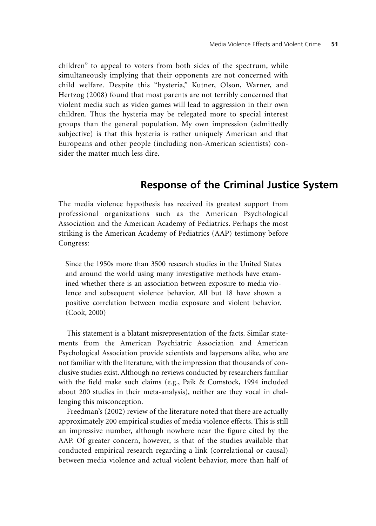children" to appeal to voters from both sides of the spectrum, while simultaneously implying that their opponents are not concerned with child welfare. Despite this "hysteria," Kutner, Olson, Warner, and Hertzog (2008) found that most parents are not terribly concerned that violent media such as video games will lead to aggression in their own children. Thus the hysteria may be relegated more to special interest groups than the general population. My own impression (admittedly subjective) is that this hysteria is rather uniquely American and that Europeans and other people (including non-American scientists) consider the matter much less dire.

## **Response of the Criminal Justice System**

The media violence hypothesis has received its greatest support from professional organizations such as the American Psychological Association and the American Academy of Pediatrics. Perhaps the most striking is the American Academy of Pediatrics (AAP) testimony before Congress:

Since the 1950s more than 3500 research studies in the United States and around the world using many investigative methods have examined whether there is an association between exposure to media violence and subsequent violence behavior. All but 18 have shown a positive correlation between media exposure and violent behavior. (Cook, 2000)

This statement is a blatant misrepresentation of the facts. Similar statements from the American Psychiatric Association and American Psychological Association provide scientists and laypersons alike, who are not familiar with the literature, with the impression that thousands of conclusive studies exist. Although no reviews conducted by researchers familiar with the field make such claims (e.g., Paik & Comstock, 1994 included about 200 studies in their meta-analysis), neither are they vocal in challenging this misconception.

Freedman's (2002) review of the literature noted that there are actually approximately 200 empirical studies of media violence effects. This is still an impressive number, although nowhere near the figure cited by the AAP. Of greater concern, however, is that of the studies available that conducted empirical research regarding a link (correlational or causal) between media violence and actual violent behavior, more than half of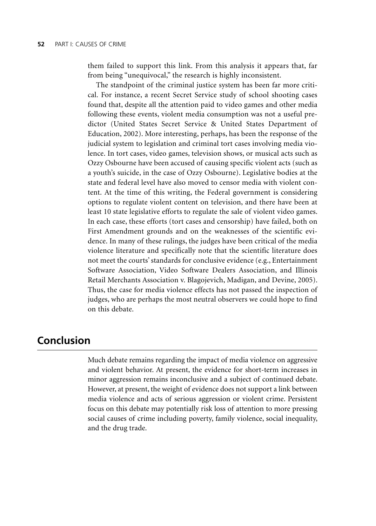them failed to support this link. From this analysis it appears that, far from being "unequivocal," the research is highly inconsistent.

The standpoint of the criminal justice system has been far more critical. For instance, a recent Secret Service study of school shooting cases found that, despite all the attention paid to video games and other media following these events, violent media consumption was not a useful predictor (United States Secret Service & United States Department of Education, 2002). More interesting, perhaps, has been the response of the judicial system to legislation and criminal tort cases involving media violence. In tort cases, video games, television shows, or musical acts such as Ozzy Osbourne have been accused of causing specific violent acts (such as a youth's suicide, in the case of Ozzy Osbourne). Legislative bodies at the state and federal level have also moved to censor media with violent content. At the time of this writing, the Federal government is considering options to regulate violent content on television, and there have been at least 10 state legislative efforts to regulate the sale of violent video games. In each case, these efforts (tort cases and censorship) have failed, both on First Amendment grounds and on the weaknesses of the scientific evidence. In many of these rulings, the judges have been critical of the media violence literature and specifically note that the scientific literature does not meet the courts' standards for conclusive evidence (e.g., Entertainment Software Association, Video Software Dealers Association, and Illinois Retail Merchants Association v. Blagojevich, Madigan, and Devine, 2005). Thus, the case for media violence effects has not passed the inspection of judges, who are perhaps the most neutral observers we could hope to find on this debate.

### **Conclusion**

Much debate remains regarding the impact of media violence on aggressive and violent behavior. At present, the evidence for short-term increases in minor aggression remains inconclusive and a subject of continued debate. However, at present, the weight of evidence does not support a link between media violence and acts of serious aggression or violent crime. Persistent focus on this debate may potentially risk loss of attention to more pressing social causes of crime including poverty, family violence, social inequality, and the drug trade.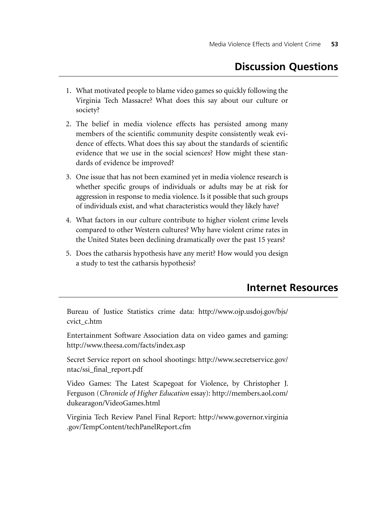## **Discussion Questions**

- 1. What motivated people to blame video games so quickly following the Virginia Tech Massacre? What does this say about our culture or society?
- 2. The belief in media violence effects has persisted among many members of the scientific community despite consistently weak evidence of effects. What does this say about the standards of scientific evidence that we use in the social sciences? How might these standards of evidence be improved?
- 3. One issue that has not been examined yet in media violence research is whether specific groups of individuals or adults may be at risk for aggression in response to media violence. Is it possible that such groups of individuals exist, and what characteristics would they likely have?
- 4. What factors in our culture contribute to higher violent crime levels compared to other Western cultures? Why have violent crime rates in the United States been declining dramatically over the past 15 years?
- 5. Does the catharsis hypothesis have any merit? How would you design a study to test the catharsis hypothesis?

### **Internet Resources**

Bureau of Justice Statistics crime data: http://www.ojp.usdoj.gov/bjs/ cvict\_c.htm

Entertainment Software Association data on video games and gaming: http://www.theesa.com/facts/index.asp

Secret Service report on school shootings: http://www.secretservice.gov/ ntac/ssi\_final\_report.pdf

Video Games: The Latest Scapegoat for Violence, by Christopher J. Ferguson (*Chronicle of Higher Education* essay): http://members.aol.com/ dukearagon/VideoGames.html

Virginia Tech Review Panel Final Report: http://www.governor.virginia .gov/TempContent/techPanelReport.cfm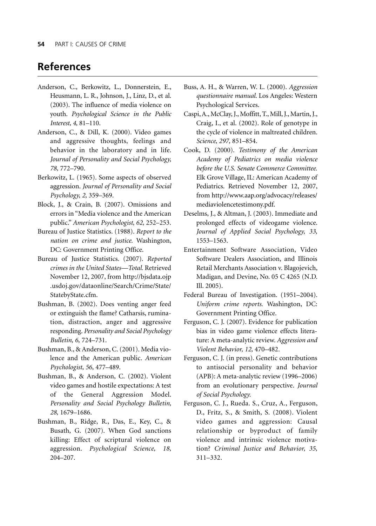## **References**

- Anderson, C., Berkowitz, L., Donnerstein, E., Heusmann, L. R., Johnson, J., Linz, D., et al. (2003). The influence of media violence on youth. *Psychological Science in the Public Interest, 4,* 81–110.
- Anderson, C., & Dill, K. (2000). Video games and aggressive thoughts, feelings and behavior in the laboratory and in life. *Journal of Personality and Social Psychology, 78,* 772–790.
- Berkowitz, L. (1965). Some aspects of observed aggression. *Journal of Personality and Social Psychology, 2,* 359–369.
- Block, J., & Crain, B. (2007). Omissions and errors in "Media violence and the American public." *American Psychologist, 62,* 252–253.
- Bureau of Justice Statistics. (1988). *Report to the nation on crime and justice.* Washington, DC: Government Printing Office.
- Bureau of Justice Statistics. (2007). *Reported crimes in the United States—Total.* Retrieved November 12, 2007, from http://bjsdata.ojp .usdoj.gov/dataonline/Search/Crime/State/ StatebyState.cfm.
- Bushman, B. (2002). Does venting anger feed or extinguish the flame? Catharsis, rumination, distraction, anger and aggressive responding. *Personality and Social Psychology Bulletin, 6,* 724–731.
- Bushman, B., & Anderson, C. (2001). Media violence and the American public. *American Psychologist, 56,* 477–489.
- Bushman, B., & Anderson, C. (2002). Violent video games and hostile expectations: A test of the General Aggression Model. *Personality and Social Psychology Bulletin, 28,* 1679–1686.
- Bushman, B., Ridge, R., Das, E., Key, C., & Busath, G. (2007). When God sanctions killing: Effect of scriptural violence on aggression. *Psychological Science, 18,* 204–207.
- Buss, A. H., & Warren, W. L. (2000). *Aggression questionnaire manual*. Los Angeles: Western Psychological Services.
- Caspi, A., McClay, J., Moffitt, T., Mill, J., Martin, J., Craig, I., et al. (2002). Role of genotype in the cycle of violence in maltreated children. *Science, 297,* 851–854.
- Cook, D. (2000). *Testimony of the American Academy of Pediatrics on media violence before the U.S. Senate Commerce Committee.* Elk Grove Village, IL: American Academy of Pediatrics. Retrieved November 12, 2007, from http://www.aap.org/advocacy/releases/ mediaviolencetestimony.pdf.
- Deselms, J., & Altman, J. (2003). Immediate and prolonged effects of videogame violence. *Journal of Applied Social Psychology, 33,* 1553–1563.
- Entertainment Software Association, Video Software Dealers Association, and Illinois Retail Merchants Association v. Blagojevich, Madigan, and Devine, No. 05 C 4265 (N.D. Ill. 2005).
- Federal Bureau of Investigation. (1951–2004). *Uniform crime reports.* Washington, DC: Government Printing Office.
- Ferguson, C. J. (2007). Evidence for publication bias in video game violence effects literature: A meta-analytic review. *Aggression and Violent Behavior, 12,* 470–482*.*
- Ferguson, C. J. (in press). Genetic contributions to antisocial personality and behavior (APB): A meta-analytic review (1996–2006) from an evolutionary perspective. *Journal of Social Psychology.*
- Ferguson, C. J., Rueda. S., Cruz, A., Ferguson, D., Fritz, S., & Smith, S. (2008). Violent video games and aggression: Causal relationship or byproduct of family violence and intrinsic violence motivation? *Criminal Justice and Behavior, 35,* 311–332.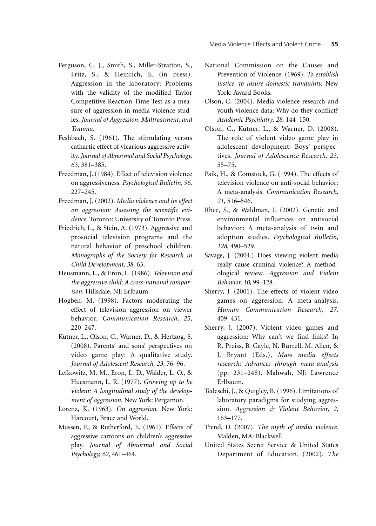- Ferguson, C. J., Smith, S., Miller-Stratton, S., Fritz, S., & Heinrich, E. (in press). Aggression in the laboratory: Problems with the validity of the modified Taylor Competitive Reaction Time Test as a measure of aggression in media violence studies. *Journal of Aggression, Maltreatment, and Trauma*.
- Feshbach, S. (1961). The stimulating versus cathartic effect of vicarious aggressive activity. *Journal of Abnormal and Social Psychology, 63,* 381–385.
- Freedman, J. (1984). Effect of television violence on aggressiveness. *Psychological Bulletin, 96,* 227–245.
- Freedman, J. (2002). *Media violence and its effect on aggression: Assessing the scientific evidence.* Toronto: University of Toronto Press.
- Friedrich, L., & Stein, A. (1973). Aggressive and prosocial television programs and the natural behavior of preschool children. *Monographs of the Society for Research in Child Development, 38,* 63.
- Heusmann, L., & Eron, L. (1986). *Television and the aggressive child: A cross-national comparison.* Hillsdale, NJ: Erlbaum.
- Hogben, M. (1998). Factors moderating the effect of television aggression on viewer behavior. *Communication Research, 25,* 220–247.
- Kutner, L., Olson, C., Warner, D., & Hertzog, S. (2008). Parents' and sons' perspectives on video game play: A qualitative study. *Journal of Adolescent Research, 23,* 76–96*.*
- Lefkowitz, M. M., Eron, L. D., Walder, L. O., & Huesmann, L. R. (1977). *Growing up to be violent: A longitudinal study of the development of aggression.* New York: Pergamon.
- Lorenz, K. (1963). *On aggression.* New York: Harcourt, Brace and World.
- Mussen, P., & Rutherford, E. (1961). Effects of aggressive cartoons on children's aggressive play. *Journal of Abnormal and Social Psychology, 62,* 461–464.
- National Commission on the Causes and Prevention of Violence. (1969). *To establish justice, to insure domestic tranquility.* New York: Award Books.
- Olson, C. (2004). Media violence research and youth violence data: Why do they conflict? *Academic Psychiatry, 28,* 144–150.
- Olson, C., Kutner, L., & Warner, D. (2008). The role of violent video game play in adolescent development: Boys' perspectives. *Journal of Adolescence Research, 23,* 55–75.
- Paik, H., & Comstock, G. (1994). The effects of television violence on anti-social behavior: A meta-analysis. *Communication Research, 21,* 516–546.
- Rhee, S., & Waldman, I. (2002). Genetic and environmental influences on antisocial behavior: A meta-analysis of twin and adoption studies. *Psychological Bulletin, 128,* 490–529.
- Savage, J. (2004.) Does viewing violent media really cause criminal violence? A methodological review. *Aggression and Violent Behavior, 10,* 99–128.
- Sherry, J. (2001). The effects of violent video games on aggression: A meta-analysis. *Human Communication Research, 27,* 409–431.
- Sherry, J. (2007). Violent video games and aggression: Why can't we find links? In R. Preiss, B. Gayle, N. Burrell, M. Allen, & J. Bryant (Eds.), *Mass media effects research: Advances through meta-analysis* (pp. 231–248). Mahwah, NJ: Lawrence Erlbaum.
- Tedeschi, J., & Quigley, B. (1996). Limitations of laboratory paradigms for studying aggression. *Aggression & Violent Behavior, 2,* 163–177.
- Trend, D. (2007). *The myth of media violence.* Malden, MA: Blackwell.
- United States Secret Service & United States Department of Education. (2002). *The*